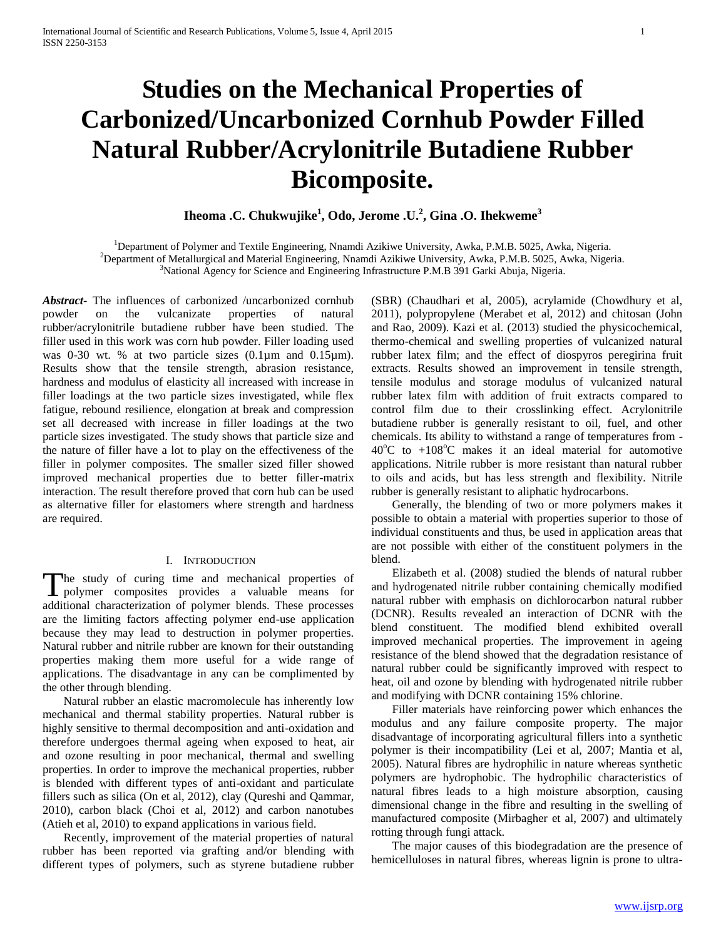# **Studies on the Mechanical Properties of Carbonized/Uncarbonized Cornhub Powder Filled Natural Rubber/Acrylonitrile Butadiene Rubber Bicomposite.**

**Iheoma .C. Chukwujike<sup>1</sup> , Odo, Jerome .U.<sup>2</sup> , Gina .O. Ihekweme<sup>3</sup>**

<sup>1</sup>Department of Polymer and Textile Engineering, Nnamdi Azikiwe University, Awka, P.M.B. 5025, Awka, Nigeria. <sup>2</sup>Department of Metallurgical and Material Engineering, Nnamdi Azikiwe University, Awka, P.M.B. 5025, Awka, Nigeria. <sup>3</sup>National Agency for Science and Engineering Infrastructure P.M.B 391 Garki Abuja, Nigeria.

*Abstract***-** The influences of carbonized /uncarbonized cornhub powder on the vulcanizate properties of natural rubber/acrylonitrile butadiene rubber have been studied. The filler used in this work was corn hub powder. Filler loading used was 0-30 wt. % at two particle sizes (0.1µm and 0.15µm). Results show that the tensile strength, abrasion resistance, hardness and modulus of elasticity all increased with increase in filler loadings at the two particle sizes investigated, while flex fatigue, rebound resilience, elongation at break and compression set all decreased with increase in filler loadings at the two particle sizes investigated. The study shows that particle size and the nature of filler have a lot to play on the effectiveness of the filler in polymer composites. The smaller sized filler showed improved mechanical properties due to better filler-matrix interaction. The result therefore proved that corn hub can be used as alternative filler for elastomers where strength and hardness are required.

#### I. INTRODUCTION

The study of curing time and mechanical properties of The study of curing time and mechanical properties of<br>
provides a valuable means for<br>
The study means for additional characterization of polymer blends. These processes are the limiting factors affecting polymer end-use application because they may lead to destruction in polymer properties. Natural rubber and nitrile rubber are known for their outstanding properties making them more useful for a wide range of applications. The disadvantage in any can be complimented by the other through blending.

 Natural rubber an elastic macromolecule has inherently low mechanical and thermal stability properties. Natural rubber is highly sensitive to thermal decomposition and anti-oxidation and therefore undergoes thermal ageing when exposed to heat, air and ozone resulting in poor mechanical, thermal and swelling properties. In order to improve the mechanical properties, rubber is blended with different types of anti-oxidant and particulate fillers such as silica (On et al, 2012), clay (Qureshi and Qammar, 2010), carbon black (Choi et al, 2012) and carbon nanotubes (Atieh et al, 2010) to expand applications in various field.

 Recently, improvement of the material properties of natural rubber has been reported via grafting and/or blending with different types of polymers, such as styrene butadiene rubber

(SBR) (Chaudhari et al, 2005), acrylamide (Chowdhury et al, 2011), polypropylene (Merabet et al, 2012) and chitosan (John and Rao, 2009). Kazi et al. (2013) studied the physicochemical, thermo-chemical and swelling properties of vulcanized natural rubber latex film; and the effect of diospyros peregirina fruit extracts. Results showed an improvement in tensile strength, tensile modulus and storage modulus of vulcanized natural rubber latex film with addition of fruit extracts compared to control film due to their crosslinking effect. Acrylonitrile butadiene rubber is generally resistant to oil, fuel, and other chemicals. Its ability to withstand a range of temperatures from -  $40^{\circ}$ C to  $+108^{\circ}$ C makes it an ideal material for automotive applications. Nitrile rubber is more resistant than natural rubber to oils and acids, but has less strength and flexibility. Nitrile rubber is generally resistant to aliphatic hydrocarbons.

 Generally, the blending of two or more polymers makes it possible to obtain a material with properties superior to those of individual constituents and thus, be used in application areas that are not possible with either of the constituent polymers in the blend.

 Elizabeth et al. (2008) studied the blends of natural rubber and hydrogenated nitrile rubber containing chemically modified natural rubber with emphasis on dichlorocarbon natural rubber (DCNR). Results revealed an interaction of DCNR with the blend constituent. The modified blend exhibited overall improved mechanical properties. The improvement in ageing resistance of the blend showed that the degradation resistance of natural rubber could be significantly improved with respect to heat, oil and ozone by blending with hydrogenated nitrile rubber and modifying with DCNR containing 15% chlorine.

 Filler materials have reinforcing power which enhances the modulus and any failure composite property. The major disadvantage of incorporating agricultural fillers into a synthetic polymer is their incompatibility (Lei et al, 2007; Mantia et al, 2005). Natural fibres are hydrophilic in nature whereas synthetic polymers are hydrophobic. The hydrophilic characteristics of natural fibres leads to a high moisture absorption, causing dimensional change in the fibre and resulting in the swelling of manufactured composite (Mirbagher et al, 2007) and ultimately rotting through fungi attack.

 The major causes of this biodegradation are the presence of hemicelluloses in natural fibres, whereas lignin is prone to ultra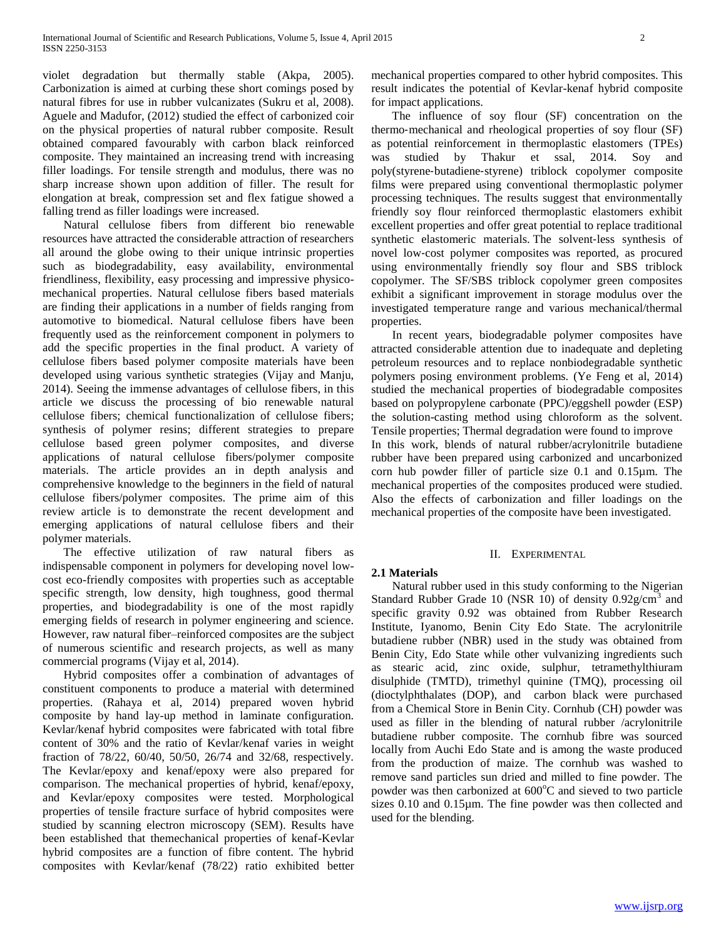violet degradation but thermally stable (Akpa, 2005). Carbonization is aimed at curbing these short comings posed by natural fibres for use in rubber vulcanizates (Sukru et al, 2008). Aguele and Madufor, (2012) studied the effect of carbonized coir on the physical properties of natural rubber composite. Result obtained compared favourably with carbon black reinforced composite. They maintained an increasing trend with increasing filler loadings. For tensile strength and modulus, there was no sharp increase shown upon addition of filler. The result for elongation at break, compression set and flex fatigue showed a falling trend as filler loadings were increased.

 Natural cellulose fibers from different bio renewable resources have attracted the considerable attraction of researchers all around the globe owing to their unique intrinsic properties such as biodegradability, easy availability, environmental friendliness, flexibility, easy processing and impressive physicomechanical properties. Natural cellulose fibers based materials are finding their applications in a number of fields ranging from automotive to biomedical. Natural cellulose fibers have been frequently used as the reinforcement component in polymers to add the specific properties in the final product. A variety of cellulose fibers based polymer composite materials have been developed using various synthetic strategies (Vijay and Manju, 2014). Seeing the immense advantages of cellulose fibers, in this article we discuss the processing of bio renewable natural cellulose fibers; chemical functionalization of cellulose fibers; synthesis of polymer resins; different strategies to prepare cellulose based green polymer composites, and diverse applications of natural cellulose fibers/polymer composite materials. The article provides an in depth analysis and comprehensive knowledge to the beginners in the field of natural cellulose fibers/polymer composites. The prime aim of this review article is to demonstrate the recent development and emerging applications of natural cellulose fibers and their polymer materials.

 The effective utilization of raw natural fibers as indispensable component in polymers for developing novel lowcost eco-friendly composites with properties such as acceptable specific strength, low density, high toughness, good thermal properties, and biodegradability is one of the most rapidly emerging fields of research in polymer engineering and science. However, raw natural fiber–reinforced composites are the subject of numerous scientific and research projects, as well as many commercial programs (Vijay et al, 2014).

 Hybrid composites offer a combination of advantages of constituent components to produce a material with determined properties. (Rahaya et al, 2014) prepared woven hybrid composite by hand lay-up method in laminate configuration. Kevlar/kenaf hybrid composites were fabricated with total fibre content of 30% and the ratio of Kevlar/kenaf varies in weight fraction of 78/22, 60/40, 50/50, 26/74 and 32/68, respectively. The Kevlar/epoxy and kenaf/epoxy were also prepared for comparison. The mechanical properties of hybrid, kenaf/epoxy, and Kevlar/epoxy composites were tested. Morphological properties of tensile fracture surface of hybrid composites were studied by scanning electron microscopy (SEM). Results have been established that themechanical properties of kenaf-Kevlar hybrid composites are a function of fibre content. The hybrid composites with Kevlar/kenaf (78/22) ratio exhibited better

mechanical properties compared to other hybrid composites. This result indicates the potential of Kevlar-kenaf hybrid composite for impact applications.

 The influence of soy flour (SF) concentration on the thermo‐mechanical and rheological properties of soy flour (SF) as potential reinforcement in thermoplastic elastomers (TPEs) was studied by Thakur et ssal, 2014. Soy and poly(styrene‐butadiene‐styrene) triblock copolymer composite films were prepared using conventional thermoplastic polymer processing techniques. The results suggest that environmentally friendly soy flour reinforced thermoplastic elastomers exhibit excellent properties and offer great potential to replace traditional synthetic elastomeric materials. The solvent‐less synthesis of novel low‐cost polymer composites was reported, as procured using environmentally friendly soy flour and SBS triblock copolymer. The SF/SBS triblock copolymer green composites exhibit a significant improvement in storage modulus over the investigated temperature range and various mechanical/thermal properties.

 In recent years, biodegradable polymer composites have attracted considerable attention due to inadequate and depleting petroleum resources and to replace nonbiodegradable synthetic polymers posing environment problems. (Ye Feng et al, 2014) studied the mechanical properties of biodegradable composites based on polypropylene carbonate (PPC)/eggshell powder (ESP) the solution-casting method using chloroform as the solvent. Tensile properties; Thermal degradation were found to improve In this work, blends of natural rubber/acrylonitrile butadiene rubber have been prepared using carbonized and uncarbonized corn hub powder filler of particle size 0.1 and 0.15µm. The mechanical properties of the composites produced were studied. Also the effects of carbonization and filler loadings on the mechanical properties of the composite have been investigated.

## II. EXPERIMENTAL

#### **2.1 Materials**

 Natural rubber used in this study conforming to the Nigerian Standard Rubber Grade 10 (NSR 10) of density  $0.92$ g/cm<sup>3</sup> and specific gravity 0.92 was obtained from Rubber Research Institute, Iyanomo, Benin City Edo State. The acrylonitrile butadiene rubber (NBR) used in the study was obtained from Benin City, Edo State while other vulvanizing ingredients such as stearic acid, zinc oxide, sulphur, tetramethylthiuram disulphide (TMTD), trimethyl quinine (TMQ), processing oil (dioctylphthalates (DOP), and carbon black were purchased from a Chemical Store in Benin City. Cornhub (CH) powder was used as filler in the blending of natural rubber /acrylonitrile butadiene rubber composite. The cornhub fibre was sourced locally from Auchi Edo State and is among the waste produced from the production of maize. The cornhub was washed to remove sand particles sun dried and milled to fine powder. The powder was then carbonized at  $600^{\circ}$ C and sieved to two particle sizes 0.10 and 0.15µm. The fine powder was then collected and used for the blending.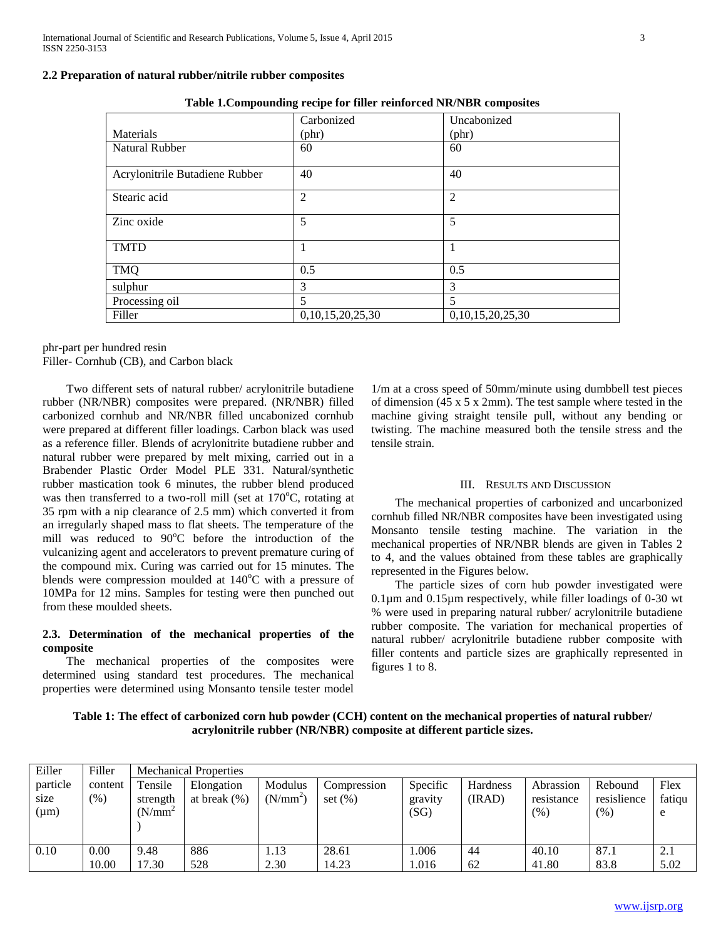#### **2.2 Preparation of natural rubber/nitrile rubber composites**

| Tubic recompounding recipe for finer remioreed rugbles composites |                  |                  |  |  |  |  |  |  |
|-------------------------------------------------------------------|------------------|------------------|--|--|--|--|--|--|
|                                                                   | Carbonized       | Uncabonized      |  |  |  |  |  |  |
| Materials                                                         | $(\text{phr})$   | $(\text{phr})$   |  |  |  |  |  |  |
| <b>Natural Rubber</b>                                             | 60               | 60               |  |  |  |  |  |  |
| Acrylonitrile Butadiene Rubber                                    | 40               | 40               |  |  |  |  |  |  |
| Stearic acid                                                      | $\overline{2}$   | $\overline{2}$   |  |  |  |  |  |  |
| Zinc oxide                                                        | 5                | 5                |  |  |  |  |  |  |
| <b>TMTD</b>                                                       |                  | 1                |  |  |  |  |  |  |
| <b>TMQ</b>                                                        | 0.5              | 0.5              |  |  |  |  |  |  |
| sulphur                                                           | 3                | 3                |  |  |  |  |  |  |
| Processing oil                                                    | 5                | 5                |  |  |  |  |  |  |
| Filler                                                            | 0,10,15,20,25,30 | 0,10,15,20,25,30 |  |  |  |  |  |  |

**Table 1.Compounding recipe for filler reinforced NR/NBR composites**

phr-part per hundred resin Filler- Cornhub (CB), and Carbon black

 Two different sets of natural rubber/ acrylonitrile butadiene rubber (NR/NBR) composites were prepared. (NR/NBR) filled carbonized cornhub and NR/NBR filled uncabonized cornhub were prepared at different filler loadings. Carbon black was used as a reference filler. Blends of acrylonitrite butadiene rubber and natural rubber were prepared by melt mixing, carried out in a Brabender Plastic Order Model PLE 331. Natural/synthetic rubber mastication took 6 minutes, the rubber blend produced was then transferred to a two-roll mill (set at  $170^{\circ}$ C, rotating at 35 rpm with a nip clearance of 2.5 mm) which converted it from an irregularly shaped mass to flat sheets. The temperature of the mill was reduced to  $90^{\circ}$ C before the introduction of the vulcanizing agent and accelerators to prevent premature curing of the compound mix. Curing was carried out for 15 minutes. The blends were compression moulded at  $140^{\circ}$ C with a pressure of 10MPa for 12 mins. Samples for testing were then punched out from these moulded sheets.

## **2.3. Determination of the mechanical properties of the composite**

 The mechanical properties of the composites were determined using standard test procedures. The mechanical properties were determined using Monsanto tensile tester model

1/m at a cross speed of 50mm/minute using dumbbell test pieces of dimension (45 x 5 x 2mm). The test sample where tested in the machine giving straight tensile pull, without any bending or twisting. The machine measured both the tensile stress and the tensile strain.

#### III. RESULTS AND DISCUSSION

 The mechanical properties of carbonized and uncarbonized cornhub filled NR/NBR composites have been investigated using Monsanto tensile testing machine. The variation in the mechanical properties of NR/NBR blends are given in Tables 2 to 4, and the values obtained from these tables are graphically represented in the Figures below.

 The particle sizes of corn hub powder investigated were 0.1µm and 0.15µm respectively, while filler loadings of 0-30 wt % were used in preparing natural rubber/ acrylonitrile butadiene rubber composite. The variation for mechanical properties of natural rubber/ acrylonitrile butadiene rubber composite with filler contents and particle sizes are graphically represented in figures 1 to 8.

**Table 1: The effect of carbonized corn hub powder (CCH) content on the mechanical properties of natural rubber/ acrylonitrile rubber (NR/NBR) composite at different particle sizes.**

| Eiller                        | Filler            | <b>Mechanical Properties</b>      |                               |                                 |                            |                             |                           |                                   |                                |                     |
|-------------------------------|-------------------|-----------------------------------|-------------------------------|---------------------------------|----------------------------|-----------------------------|---------------------------|-----------------------------------|--------------------------------|---------------------|
| particle<br>size<br>$(\mu m)$ | content<br>$(\%)$ | Tensile<br>strength<br>$(N/mm^2)$ | Elongation<br>at break $(\%)$ | Modulus<br>(N/mm <sup>2</sup> ) | Compression<br>set $(\% )$ | Specific<br>gravity<br>(SG) | <b>Hardness</b><br>(IRAD) | Abrassion<br>resistance<br>$(\%)$ | Rebound<br>resislience<br>(% ) | Flex<br>fatiqu<br>e |
| 0.10                          | 0.00              | 9.48                              | 886                           | 1.13                            | 28.61                      | 1.006                       | 44                        | 40.10                             | 87.1                           | 2.1                 |
|                               | 10.00             | 17.30                             | 528                           | 2.30                            | 14.23                      | 1.016                       | 62                        | 41.80                             | 83.8                           | 5.02                |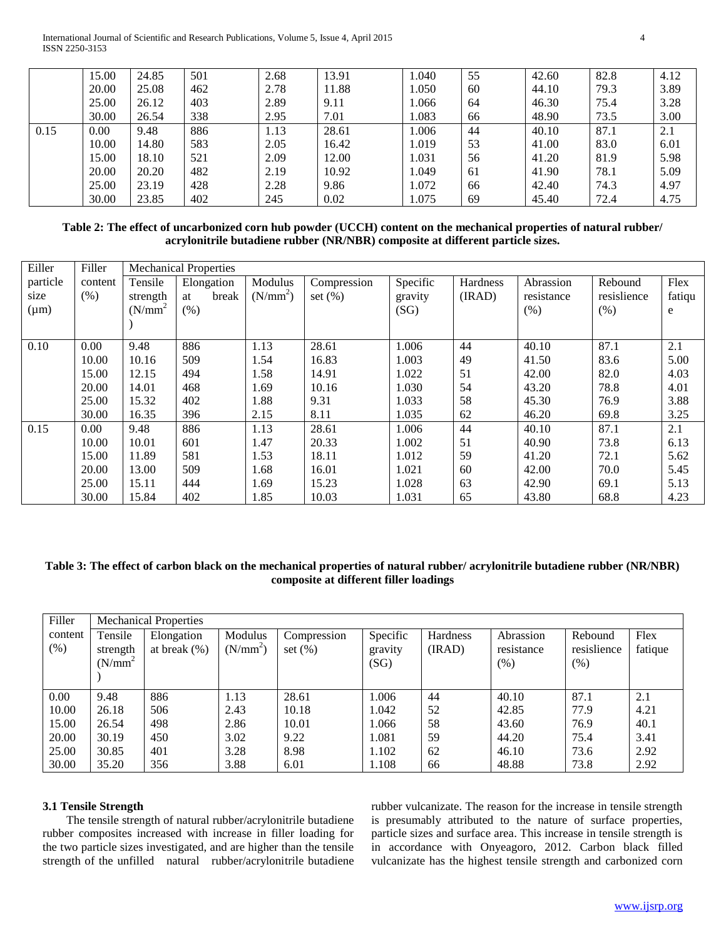International Journal of Scientific and Research Publications, Volume 5, Issue 4, April 2015 4 ISSN 2250-3153

|      | 15.00 | 24.85 | 501 | 2.68 | 13.91 | 1.040 | 55 | 42.60 | 82.8 | 4.12 |
|------|-------|-------|-----|------|-------|-------|----|-------|------|------|
|      | 20.00 | 25.08 | 462 | 2.78 | 11.88 | 1.050 | 60 | 44.10 | 79.3 | 3.89 |
|      | 25.00 | 26.12 | 403 | 2.89 | 9.11  | 1.066 | 64 | 46.30 | 75.4 | 3.28 |
|      | 30.00 | 26.54 | 338 | 2.95 | 7.01  | 1.083 | 66 | 48.90 | 73.5 | 3.00 |
| 0.15 | 0.00  | 9.48  | 886 | 1.13 | 28.61 | 1.006 | 44 | 40.10 | 87.1 | 2.1  |
|      | 10.00 | 14.80 | 583 | 2.05 | 16.42 | 1.019 | 53 | 41.00 | 83.0 | 6.01 |
|      | 15.00 | 18.10 | 521 | 2.09 | 12.00 | 1.031 | 56 | 41.20 | 81.9 | 5.98 |
|      | 20.00 | 20.20 | 482 | 2.19 | 10.92 | 1.049 | 61 | 41.90 | 78.1 | 5.09 |
|      | 25.00 | 23.19 | 428 | 2.28 | 9.86  | 1.072 | 66 | 42.40 | 74.3 | 4.97 |
|      | 30.00 | 23.85 | 402 | 245  | 0.02  | 1.075 | 69 | 45.40 | 72.4 | 4.75 |

**Table 2: The effect of uncarbonized corn hub powder (UCCH) content on the mechanical properties of natural rubber/ acrylonitrile butadiene rubber (NR/NBR) composite at different particle sizes.**

| Eiller    | Filler  | <b>Mechanical Properties</b> |             |                      |             |          |          |            |             |        |
|-----------|---------|------------------------------|-------------|----------------------|-------------|----------|----------|------------|-------------|--------|
| particle  | content | Tensile                      | Elongation  | Modulus              | Compression | Specific | Hardness | Abrassion  | Rebound     | Flex   |
| size      | (% )    | strength                     | break<br>at | (N/mm <sup>2</sup> ) | set $(\% )$ | gravity  | (IRAD)   | resistance | resislience | fatiqu |
| $(\mu m)$ |         | $(N/mm^2)$                   | (% )        |                      |             | (SG)     |          | (% )       | (% )        | e      |
|           |         |                              |             |                      |             |          |          |            |             |        |
| 0.10      | 0.00    | 9.48                         | 886         | 1.13                 | 28.61       | 1.006    | 44       | 40.10      | 87.1        | 2.1    |
|           | 10.00   | 10.16                        | 509         | 1.54                 | 16.83       | 1.003    | 49       | 41.50      | 83.6        | 5.00   |
|           | 15.00   | 12.15                        | 494         | 1.58                 | 14.91       | 1.022    | 51       | 42.00      | 82.0        | 4.03   |
|           | 20.00   | 14.01                        | 468         | 1.69                 | 10.16       | 1.030    | 54       | 43.20      | 78.8        | 4.01   |
|           | 25.00   | 15.32                        | 402         | 1.88                 | 9.31        | 1.033    | 58       | 45.30      | 76.9        | 3.88   |
|           | 30.00   | 16.35                        | 396         | 2.15                 | 8.11        | 1.035    | 62       | 46.20      | 69.8        | 3.25   |
| 0.15      | 0.00    | 9.48                         | 886         | 1.13                 | 28.61       | 1.006    | 44       | 40.10      | 87.1        | 2.1    |
|           | 10.00   | 10.01                        | 601         | 1.47                 | 20.33       | 1.002    | 51       | 40.90      | 73.8        | 6.13   |
|           | 15.00   | 11.89                        | 581         | 1.53                 | 18.11       | 1.012    | 59       | 41.20      | 72.1        | 5.62   |
|           | 20.00   | 13.00                        | 509         | 1.68                 | 16.01       | 1.021    | 60       | 42.00      | 70.0        | 5.45   |
|           | 25.00   | 15.11                        | 444         | 1.69                 | 15.23       | 1.028    | 63       | 42.90      | 69.1        | 5.13   |
|           | 30.00   | 15.84                        | 402         | 1.85                 | 10.03       | 1.031    | 65       | 43.80      | 68.8        | 4.23   |

## **Table 3: The effect of carbon black on the mechanical properties of natural rubber/ acrylonitrile butadiene rubber (NR/NBR) composite at different filler loadings**

| Filler  | <b>Mechanical Properties</b> |                 |                      |             |          |          |            |             |         |  |  |
|---------|------------------------------|-----------------|----------------------|-------------|----------|----------|------------|-------------|---------|--|--|
| content | Tensile                      | Elongation      | Modulus              | Compression | Specific | Hardness | Abrassion  | Rebound     | Flex    |  |  |
| $(\%)$  | strength                     | at break $(\%)$ | (N/mm <sup>2</sup> ) | set $(\%)$  | gravity  | (IRAD)   | resistance | resislience | fatique |  |  |
|         | $(N/mm^2)$                   |                 |                      |             | (SG)     |          | (% )       | (% )        |         |  |  |
|         |                              |                 |                      |             |          |          |            |             |         |  |  |
| 0.00    | 9.48                         | 886             | 1.13                 | 28.61       | 1.006    | 44       | 40.10      | 87.1        | 2.1     |  |  |
| 10.00   | 26.18                        | 506             | 2.43                 | 10.18       | 1.042    | 52       | 42.85      | 77.9        | 4.21    |  |  |
| 15.00   | 26.54                        | 498             | 2.86                 | 10.01       | 1.066    | 58       | 43.60      | 76.9        | 40.1    |  |  |
| 20.00   | 30.19                        | 450             | 3.02                 | 9.22        | 1.081    | 59       | 44.20      | 75.4        | 3.41    |  |  |
| 25.00   | 30.85                        | 401             | 3.28                 | 8.98        | 1.102    | 62       | 46.10      | 73.6        | 2.92    |  |  |
| 30.00   | 35.20                        | 356             | 3.88                 | 6.01        | 1.108    | 66       | 48.88      | 73.8        | 2.92    |  |  |

#### **3.1 Tensile Strength**

 The tensile strength of natural rubber/acrylonitrile butadiene rubber composites increased with increase in filler loading for the two particle sizes investigated, and are higher than the tensile strength of the unfilled natural rubber/acrylonitrile butadiene

rubber vulcanizate. The reason for the increase in tensile strength is presumably attributed to the nature of surface properties, particle sizes and surface area. This increase in tensile strength is in accordance with Onyeagoro, 2012. Carbon black filled vulcanizate has the highest tensile strength and carbonized corn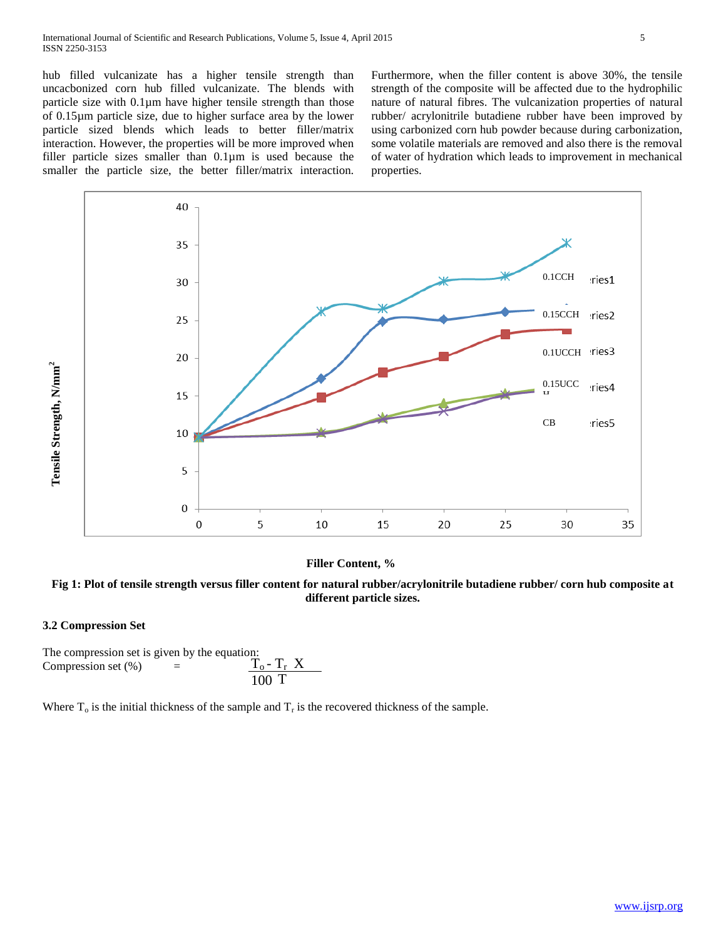hub filled vulcanizate has a higher tensile strength than uncacbonized corn hub filled vulcanizate. The blends with particle size with 0.1µm have higher tensile strength than those of 0.15µm particle size, due to higher surface area by the lower particle sized blends which leads to better filler/matrix interaction. However, the properties will be more improved when filler particle sizes smaller than 0.1µm is used because the smaller the particle size, the better filler/matrix interaction.

Furthermore, when the filler content is above 30%, the tensile strength of the composite will be affected due to the hydrophilic nature of natural fibres. The vulcanization properties of natural rubber/ acrylonitrile butadiene rubber have been improved by using carbonized corn hub powder because during carbonization, some volatile materials are removed and also there is the removal of water of hydration which leads to improvement in mechanical properties.



#### **Filler Content, %**



## **3.2 Compression Set**

**Tensile Strength, N/mm2** 

The compression set is given by the equation: Compression set  $(\%)$  =  $T_o - T_r X$ 100 T

Where  $T_0$  is the initial thickness of the sample and  $T_r$  is the recovered thickness of the sample.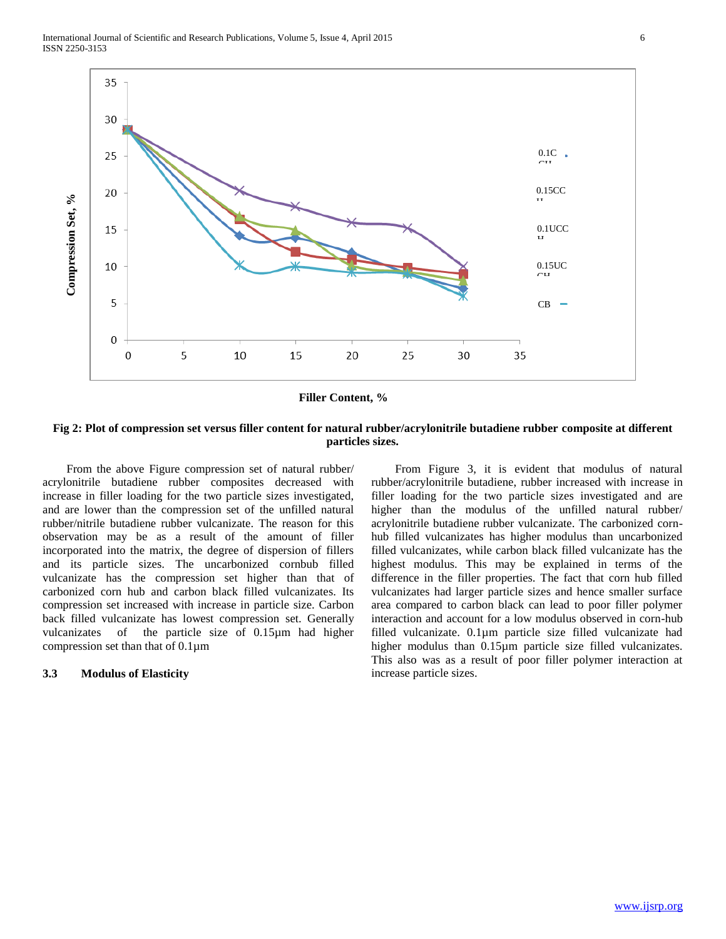

**Filler Content, %**

### **Fig 2: Plot of compression set versus filler content for natural rubber/acrylonitrile butadiene rubber composite at different particles sizes.**

 From the above Figure compression set of natural rubber/ acrylonitrile butadiene rubber composites decreased with increase in filler loading for the two particle sizes investigated, and are lower than the compression set of the unfilled natural rubber/nitrile butadiene rubber vulcanizate. The reason for this observation may be as a result of the amount of filler incorporated into the matrix, the degree of dispersion of fillers and its particle sizes. The uncarbonized cornbub filled vulcanizate has the compression set higher than that of carbonized corn hub and carbon black filled vulcanizates. Its compression set increased with increase in particle size. Carbon back filled vulcanizate has lowest compression set. Generally vulcanizates of the particle size of 0.15µm had higher compression set than that of  $0.1 \mu m$ 

#### **3.3 Modulus of Elasticity**

 From Figure 3, it is evident that modulus of natural rubber/acrylonitrile butadiene, rubber increased with increase in filler loading for the two particle sizes investigated and are higher than the modulus of the unfilled natural rubber/ acrylonitrile butadiene rubber vulcanizate. The carbonized cornhub filled vulcanizates has higher modulus than uncarbonized filled vulcanizates, while carbon black filled vulcanizate has the highest modulus. This may be explained in terms of the difference in the filler properties. The fact that corn hub filled vulcanizates had larger particle sizes and hence smaller surface area compared to carbon black can lead to poor filler polymer interaction and account for a low modulus observed in corn-hub filled vulcanizate. 0.1µm particle size filled vulcanizate had higher modulus than 0.15µm particle size filled vulcanizates. This also was as a result of poor filler polymer interaction at increase particle sizes.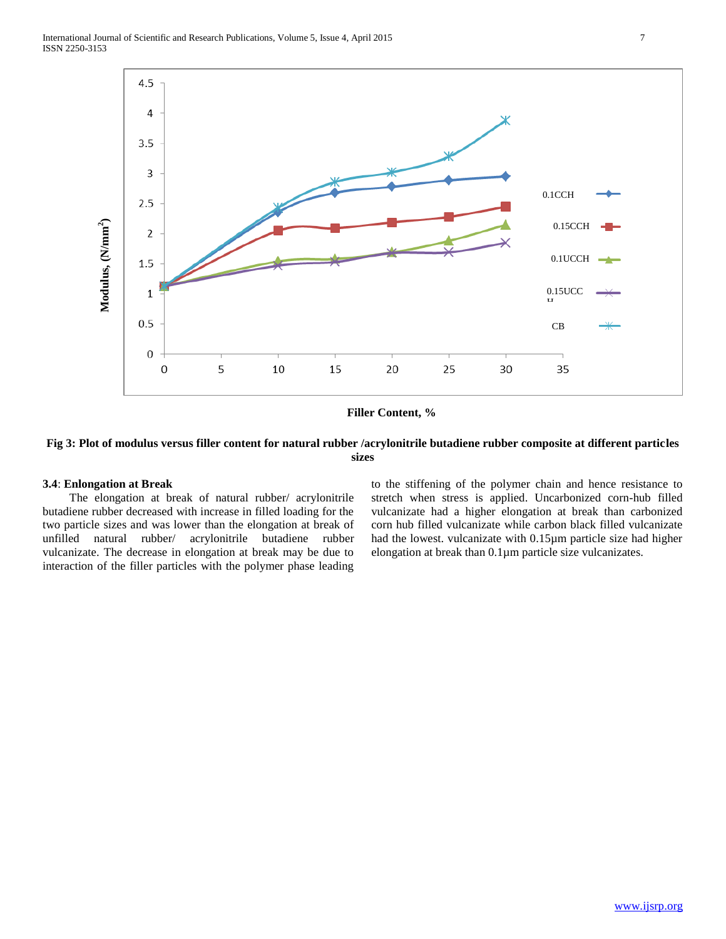

**Filler Content, %**

## **Fig 3: Plot of modulus versus filler content for natural rubber /acrylonitrile butadiene rubber composite at different particles sizes**

#### **3.4**: **Enlongation at Break**

 The elongation at break of natural rubber/ acrylonitrile butadiene rubber decreased with increase in filled loading for the two particle sizes and was lower than the elongation at break of unfilled natural rubber/ acrylonitrile butadiene rubber vulcanizate. The decrease in elongation at break may be due to interaction of the filler particles with the polymer phase leading

to the stiffening of the polymer chain and hence resistance to stretch when stress is applied. Uncarbonized corn-hub filled vulcanizate had a higher elongation at break than carbonized corn hub filled vulcanizate while carbon black filled vulcanizate had the lowest. vulcanizate with 0.15µm particle size had higher elongation at break than 0.1µm particle size vulcanizates.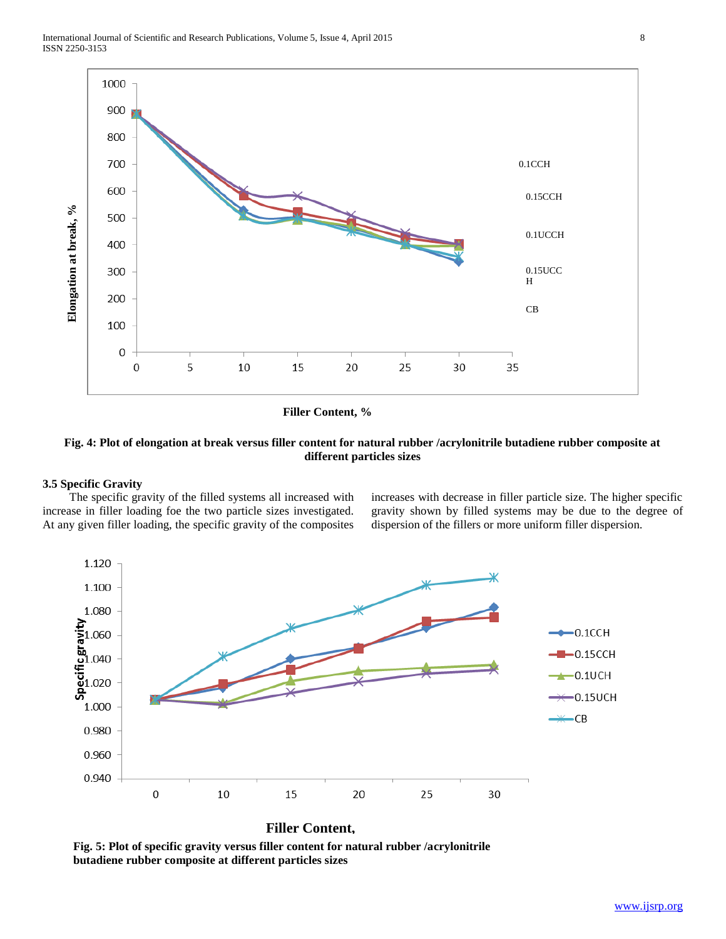

**Filler Content, %**

## **Fig. 4: Plot of elongation at break versus filler content for natural rubber /acrylonitrile butadiene rubber composite at different particles sizes**

#### **3.5 Specific Gravity**

 The specific gravity of the filled systems all increased with increase in filler loading foe the two particle sizes investigated. At any given filler loading, the specific gravity of the composites increases with decrease in filler particle size. The higher specific gravity shown by filled systems may be due to the degree of dispersion of the fillers or more uniform filler dispersion.



Fig. 5: Plot of specific gravity versus filler content for natural rubber /acrylonitrile **butadiene rubber composite at different particles sizes**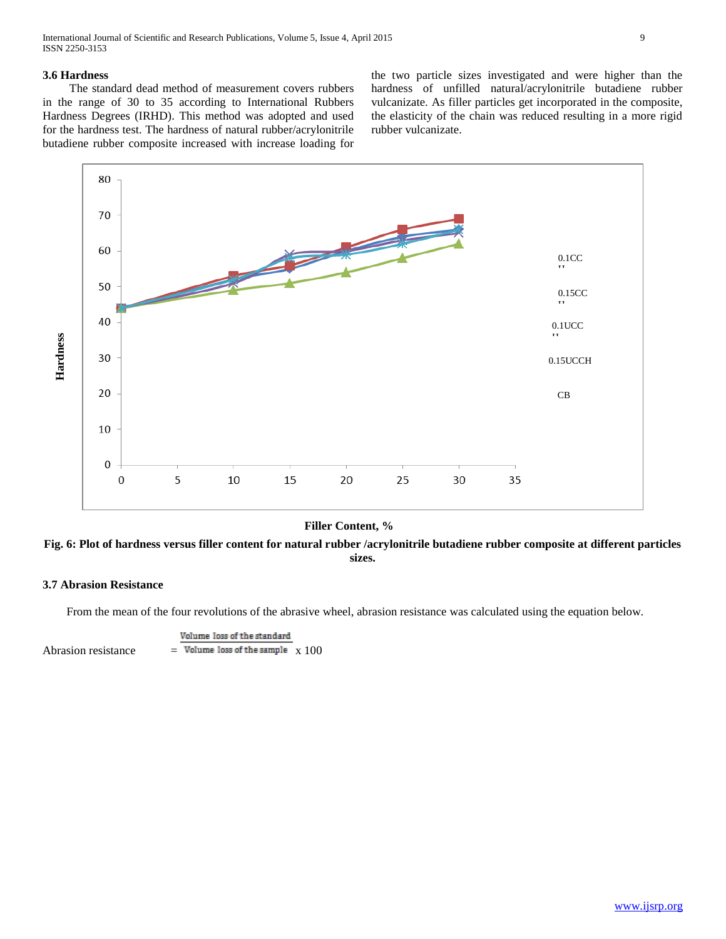International Journal of Scientific and Research Publications, Volume 5, Issue 4, April 2015 9 ISSN 2250-3153

### **3.6 Hardness**

 The standard dead method of measurement covers rubbers in the range of 30 to 35 according to International Rubbers Hardness Degrees (IRHD). This method was adopted and used for the hardness test. The hardness of natural rubber/acrylonitrile butadiene rubber composite increased with increase loading for

the two particle sizes investigated and were higher than the hardness of unfilled natural/acrylonitrile butadiene rubber vulcanizate. As filler particles get incorporated in the composite, the elasticity of the chain was reduced resulting in a more rigid rubber vulcanizate.



**Filler Content, %**

**Fig. 6: Plot of hardness versus filler content for natural rubber /acrylonitrile butadiene rubber composite at different particles sizes.**

## **3.7 Abrasion Resistance**

From the mean of the four revolutions of the abrasive wheel, abrasion resistance was calculated using the equation below.

Volume loss of the standard Abrasion resistance  $=$  Volume loss of the sample  $\frac{x}{100}$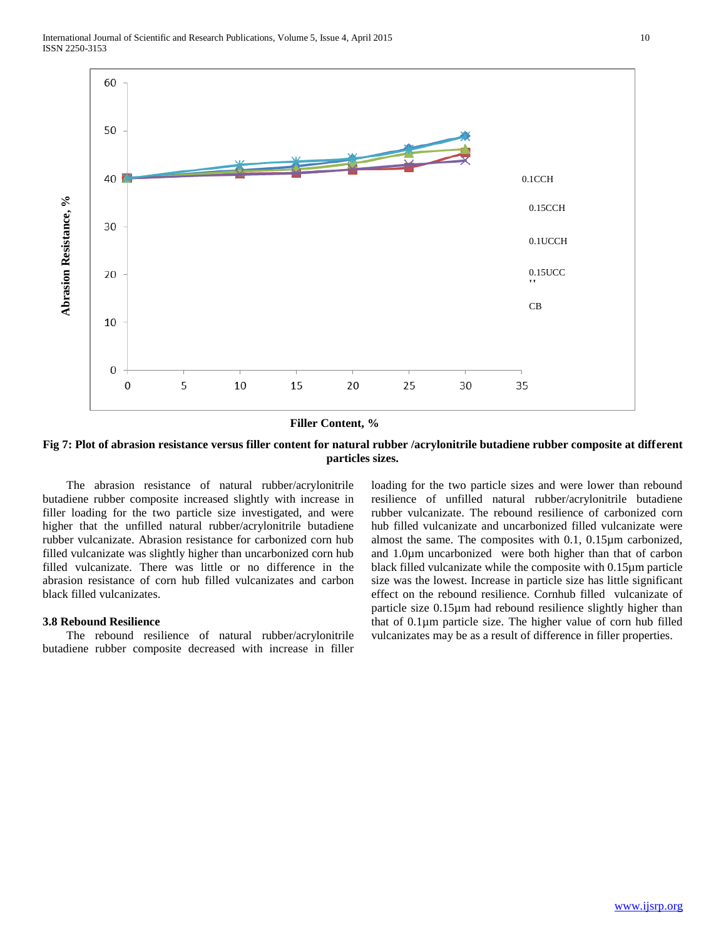



**Filler Content, %**

**Fig 7: Plot of abrasion resistance versus filler content for natural rubber /acrylonitrile butadiene rubber composite at different particles sizes.**

 The abrasion resistance of natural rubber/acrylonitrile butadiene rubber composite increased slightly with increase in filler loading for the two particle size investigated, and were higher that the unfilled natural rubber/acrylonitrile butadiene rubber vulcanizate. Abrasion resistance for carbonized corn hub filled vulcanizate was slightly higher than uncarbonized corn hub filled vulcanizate. There was little or no difference in the abrasion resistance of corn hub filled vulcanizates and carbon black filled vulcanizates.

#### **3.8 Rebound Resilience**

**Abrasion Resistance, %**

Abrasion Resistance, %

 The rebound resilience of natural rubber/acrylonitrile butadiene rubber composite decreased with increase in filler loading for the two particle sizes and were lower than rebound resilience of unfilled natural rubber/acrylonitrile butadiene rubber vulcanizate. The rebound resilience of carbonized corn hub filled vulcanizate and uncarbonized filled vulcanizate were almost the same. The composites with 0.1, 0.15µm carbonized, and 1.0µm uncarbonized were both higher than that of carbon black filled vulcanizate while the composite with 0.15µm particle size was the lowest. Increase in particle size has little significant effect on the rebound resilience. Cornhub filled vulcanizate of particle size 0.15µm had rebound resilience slightly higher than that of 0.1µm particle size. The higher value of corn hub filled vulcanizates may be as a result of difference in filler properties.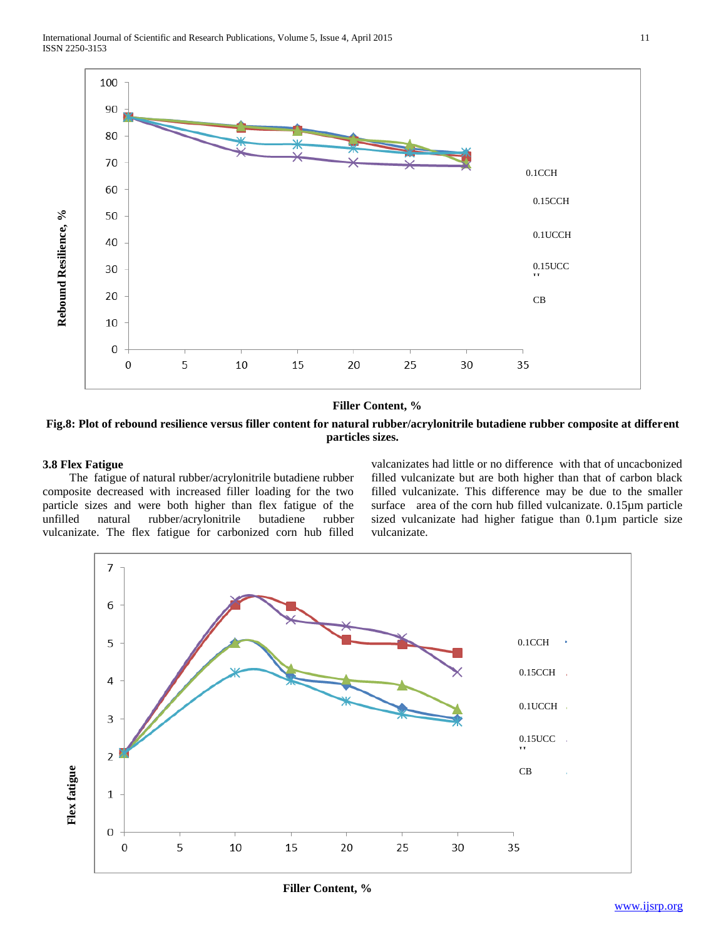

### **Filler Content, %**

**Fig.8: Plot of rebound resilience versus filler content for natural rubber/acrylonitrile butadiene rubber composite at different particles sizes.**

## **3.8 Flex Fatigue**

 The fatigue of natural rubber/acrylonitrile butadiene rubber composite decreased with increased filler loading for the two particle sizes and were both higher than flex fatigue of the unfilled natural rubber/acrylonitrile butadiene rubber vulcanizate. The flex fatigue for carbonized corn hub filled valcanizates had little or no difference with that of uncacbonized filled vulcanizate but are both higher than that of carbon black filled vulcanizate. This difference may be due to the smaller surface area of the corn hub filled vulcanizate. 0.15µm particle sized vulcanizate had higher fatigue than 0.1µm particle size vulcanizate.



**Filler Content, %**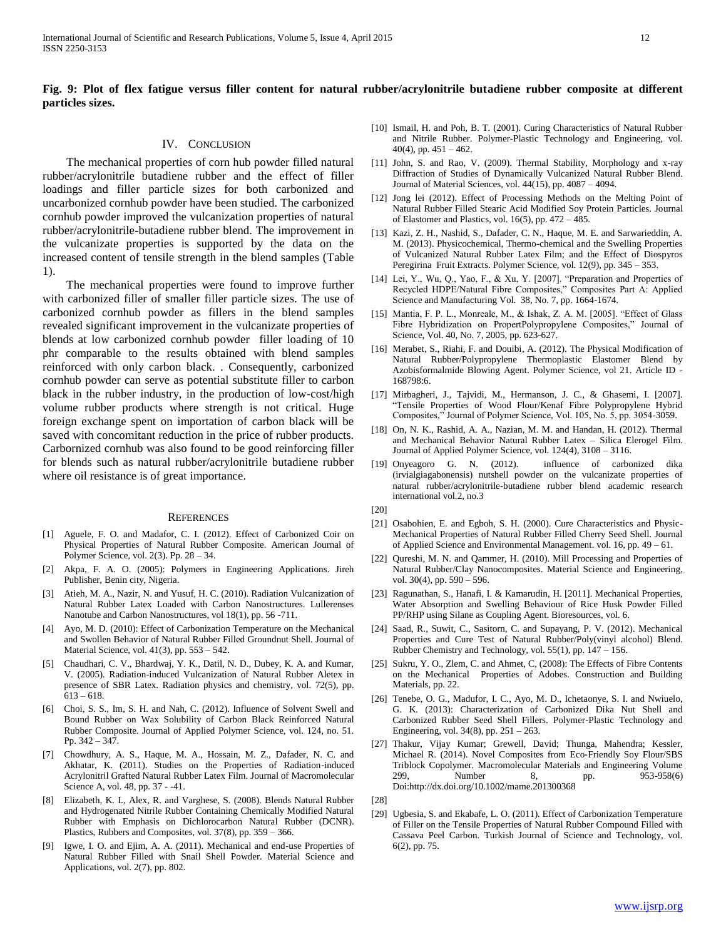## **Fig. 9: Plot of flex fatigue versus filler content for natural rubber/acrylonitrile butadiene rubber composite at different particles sizes.**

#### IV. CONCLUSION

 The mechanical properties of corn hub powder filled natural rubber/acrylonitrile butadiene rubber and the effect of filler loadings and filler particle sizes for both carbonized and uncarbonized cornhub powder have been studied. The carbonized cornhub powder improved the vulcanization properties of natural rubber/acrylonitrile-butadiene rubber blend. The improvement in the vulcanizate properties is supported by the data on the increased content of tensile strength in the blend samples (Table 1).

 The mechanical properties were found to improve further with carbonized filler of smaller filler particle sizes. The use of carbonized cornhub powder as fillers in the blend samples revealed significant improvement in the vulcanizate properties of blends at low carbonized cornhub powder filler loading of 10 phr comparable to the results obtained with blend samples reinforced with only carbon black. . Consequently, carbonized cornhub powder can serve as potential substitute filler to carbon black in the rubber industry, in the production of low-cost/high volume rubber products where strength is not critical. Huge foreign exchange spent on importation of carbon black will be saved with concomitant reduction in the price of rubber products. Carbornized cornhub was also found to be good reinforcing filler for blends such as natural rubber/acrylonitrile butadiene rubber where oil resistance is of great importance.

#### **REFERENCES**

- [1] Aguele, F. O. and Madafor, C. I. (2012). Effect of Carbonized Coir on Physical Properties of Natural Rubber Composite. American Journal of Polymer Science, vol. 2(3). Pp. 28 – 34.
- [2] Akpa, F. A. O. (2005): Polymers in Engineering Applications. Jireh Publisher, Benin city, Nigeria.
- Atieh, M. A., Nazir, N. and Yusuf, H. C. (2010). Radiation Vulcanization of Natural Rubber Latex Loaded with Carbon Nanostructures. Lullerenses Nanotube and Carbon Nanostructures, vol 18(1), pp. 56 -711.
- [4] Ayo, M. D. (2010): Effect of Carbonization Temperature on the Mechanical and Swollen Behavior of Natural Rubber Filled Groundnut Shell. Journal of Material Science, vol. 41(3), pp. 553 – 542.
- [5] Chaudhari, C. V., Bhardwaj, Y. K., Datil, N. D., Dubey, K. A. and Kumar, V. (2005). Radiation-induced Vulcanization of Natural Rubber Aletex in presence of SBR Latex. Radiation physics and chemistry, vol. 72(5), pp.  $613 - 618.$
- [6] Choi, S. S., Im, S. H. and Nah, C. (2012). Influence of Solvent Swell and Bound Rubber on Wax Solubility of Carbon Black Reinforced Natural Rubber Composite. Journal of Applied Polymer Science, vol. 124, no. 51. Pp. 342 – 347.
- [7] Chowdhury, A. S., Haque, M. A., Hossain, M. Z., Dafader, N. C. and Akhatar, K. (2011). Studies on the Properties of Radiation-induced Acrylonitril Grafted Natural Rubber Latex Film. Journal of Macromolecular Science A, vol. 48, pp. 37 - -41.
- [8] Elizabeth, K. I., Alex, R. and Varghese, S. (2008). Blends Natural Rubber and Hydrogenated Nitrile Rubber Containing Chemically Modified Natural Rubber with Emphasis on Dichlorocarbon Natural Rubber (DCNR). Plastics, Rubbers and Composites, vol. 37(8), pp. 359 – 366.
- [9] Igwe, I. O. and Ejim, A. A. (2011). Mechanical and end-use Properties of Natural Rubber Filled with Snail Shell Powder. Material Science and Applications, vol. 2(7), pp. 802.
- [10] Ismail, H. and Poh, B. T. (2001). Curing Characteristics of Natural Rubber and Nitrile Rubber. Polymer-Plastic Technology and Engineering, vol.  $40(4)$ , pp.  $451 - 462$ .
- [11] John, S. and Rao, V. (2009). Thermal Stability, Morphology and x-ray Diffraction of Studies of Dynamically Vulcanized Natural Rubber Blend. Journal of Material Sciences, vol. 44(15), pp. 4087 – 4094.
- [12] Jong lei (2012). Effect of Processing Methods on the Melting Point of Natural Rubber Filled Stearic Acid Modified Soy Protein Particles. Journal of Elastomer and Plastics, vol.  $16(5)$ , pp.  $472 - 485$ .
- [13] Kazi, Z. H., Nashid, S., Dafader, C. N., Haque, M. E. and Sarwarieddin, A. M. (2013). Physicochemical, Thermo-chemical and the Swelling Properties of Vulcanized Natural Rubber Latex Film; and the Effect of Diospyros Peregirina Fruit Extracts. Polymer Science, vol. 12(9), pp. 345 – 353.
- [14] Lei, Y., Wu, Q., Yao, F., & Xu, Y. [2007]. "Preparation and Properties of Recycled HDPE/Natural Fibre Composites," Composites Part A: Applied Science and Manufacturing Vol. 38, No. 7, pp. 1664-1674.
- [15] Mantia, F. P. L., Monreale, M., & Ishak, Z. A. M. [2005]. "Effect of Glass Fibre Hybridization on PropertPolypropylene Composites," Journal of Science, Vol. 40, No. 7, 2005, pp. 623-627.
- [16] Merabet, S., Riahi, F. and Douibi, A. (2012). The Physical Modification of Natural Rubber/Polypropylene Thermoplastic Elastomer Blend by Azobisformalmide Blowing Agent. Polymer Science, vol 21. Article ID - 168798:6.
- [17] Mirbagheri, J., Tajvidi, M., Hermanson, J. C., & Ghasemi, I. [2007]. "Tensile Properties of Wood Flour/Kenaf Fibre Polypropylene Hybrid Composites," Journal of Polymer Science, Vol. 105, No. 5, pp. 3054-3059.
- [18] On, N. K., Rashid, A. A., Nazian, M. M. and Handan, H. (2012). Thermal and Mechanical Behavior Natural Rubber Latex – Silica Elerogel Film. Journal of Applied Polymer Science, vol. 124(4), 3108 – 3116.
- [19] Onyeagoro G. N. (2012). influence of carbonized dika (irvialgiagabonensis) nutshell powder on the vulcanizate properties of natural rubber/acrylonitrile-butadiene rubber blend academic research international vol.2, no.3

[20]

- [21] Osabohien, E. and Egboh, S. H. (2000). Cure Characteristics and Physic-Mechanical Properties of Natural Rubber Filled Cherry Seed Shell. Journal of Applied Science and Environmental Management. vol. 16, pp. 49 – 61.
- [22] Qureshi, M. N. and Qammer, H. (2010). Mill Processing and Properties of Natural Rubber/Clay Nanocomposites. Material Science and Engineering, vol. 30(4), pp. 590 – 596.
- [23] Ragunathan, S., Hanafi, I. & Kamarudin, H. [2011]. Mechanical Properties, Water Absorption and Swelling Behaviour of Rice Husk Powder Filled PP/RHP using Silane as Coupling Agent. Bioresources, vol. 6.
- [24] Saad, R., Suwit, C., Sasitorn, C. and Supayang, P. V. (2012). Mechanical Properties and Cure Test of Natural Rubber/Poly(vinyl alcohol) Blend. Rubber Chemistry and Technology, vol. 55(1), pp. 147 – 156.
- [25] Sukru, Y. O., Zlem, C. and Ahmet, C, (2008): The Effects of Fibre Contents on the Mechanical Properties of Adobes. Construction and Building Materials, pp. 22.
- [26] Tenebe, O. G., Madufor, I. C., Ayo, M. D., Ichetaonye, S. I. and Nwiuelo, G. K. (2013): Characterization of Carbonized Dika Nut Shell and Carbonized Rubber Seed Shell Fillers. Polymer-Plastic Technology and Engineering, vol. 34(8), pp. 251 – 263.
- [27] Thakur, Vijay Kumar; Grewell, David; Thunga, Mahendra; Kessler, Michael R. (2014). Novel Composites from Eco-Friendly Soy Flour/SBS Triblock Copolymer. Macromolecular Materials and Engineering Volume 299, Number 8, pp. 953-958(6) Doi:http://dx.doi.org/10.1002/mame.201300368

[28]

[29] Ugbesia, S. and Ekabafe, L. O. (2011). Effect of Carbonization Temperature of Filler on the Tensile Properties of Natural Rubber Compound Filled with Cassava Peel Carbon. Turkish Journal of Science and Technology, vol. 6(2), pp. 75.